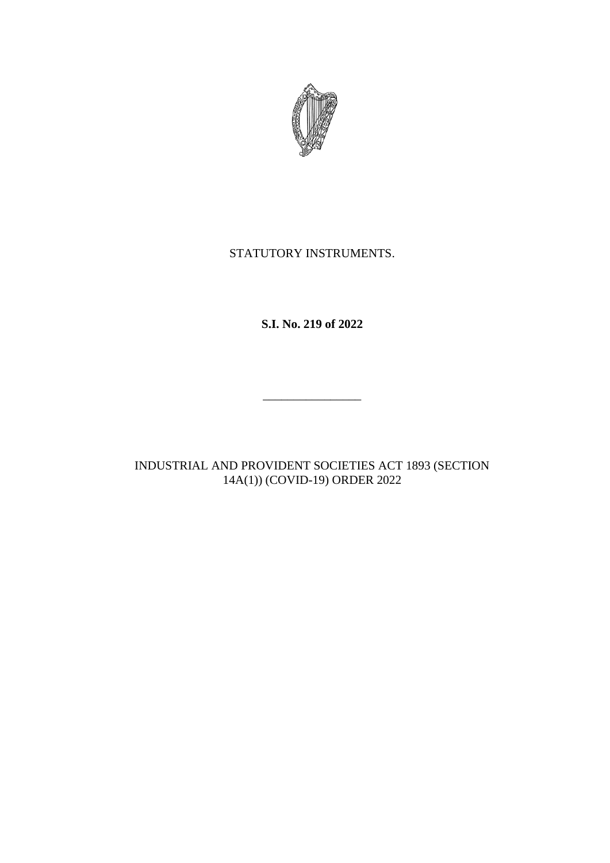

## STATUTORY INSTRUMENTS.

**S.I. No. 219 of 2022**

\_\_\_\_\_\_\_\_\_\_\_\_\_\_\_\_

INDUSTRIAL AND PROVIDENT SOCIETIES ACT 1893 (SECTION 14A(1)) (COVID-19) ORDER 2022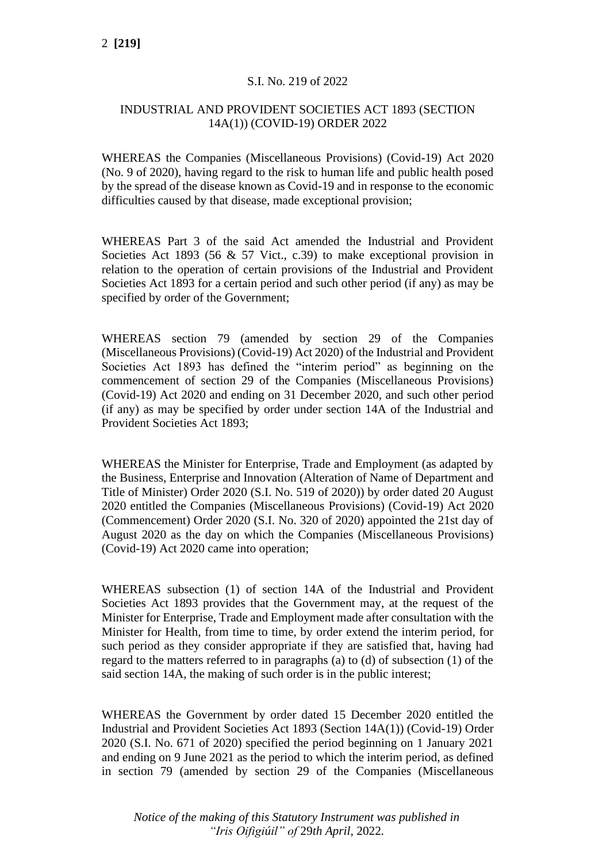## S.I. No. 219 of 2022

## INDUSTRIAL AND PROVIDENT SOCIETIES ACT 1893 (SECTION 14A(1)) (COVID-19) ORDER 2022

WHEREAS the Companies (Miscellaneous Provisions) (Covid-19) Act 2020 (No. 9 of 2020), having regard to the risk to human life and public health posed by the spread of the disease known as Covid-19 and in response to the economic difficulties caused by that disease, made exceptional provision;

WHEREAS Part 3 of the said Act amended the Industrial and Provident Societies Act 1893 (56  $\&$  57 Vict., c.39) to make exceptional provision in relation to the operation of certain provisions of the Industrial and Provident Societies Act 1893 for a certain period and such other period (if any) as may be specified by order of the Government;

WHEREAS section 79 (amended by section 29 of the Companies (Miscellaneous Provisions) (Covid-19) Act 2020) of the Industrial and Provident Societies Act 1893 has defined the "interim period" as beginning on the commencement of section 29 of the Companies (Miscellaneous Provisions) (Covid-19) Act 2020 and ending on 31 December 2020, and such other period (if any) as may be specified by order under section 14A of the Industrial and Provident Societies Act 1893;

WHEREAS the Minister for Enterprise, Trade and Employment (as adapted by the Business, Enterprise and Innovation (Alteration of Name of Department and Title of Minister) Order 2020 (S.I. No. 519 of 2020)) by order dated 20 August 2020 entitled the Companies (Miscellaneous Provisions) (Covid-19) Act 2020 (Commencement) Order 2020 (S.I. No. 320 of 2020) appointed the 21st day of August 2020 as the day on which the Companies (Miscellaneous Provisions) (Covid-19) Act 2020 came into operation;

WHEREAS subsection (1) of section 14A of the Industrial and Provident Societies Act 1893 provides that the Government may, at the request of the Minister for Enterprise, Trade and Employment made after consultation with the Minister for Health, from time to time, by order extend the interim period, for such period as they consider appropriate if they are satisfied that, having had regard to the matters referred to in paragraphs (a) to (d) of subsection (1) of the said section 14A, the making of such order is in the public interest;

WHEREAS the Government by order dated 15 December 2020 entitled the Industrial and Provident Societies Act 1893 (Section 14A(1)) (Covid-19) Order 2020 (S.I. No. 671 of 2020) specified the period beginning on 1 January 2021 and ending on 9 June 2021 as the period to which the interim period, as defined in section 79 (amended by section 29 of the Companies (Miscellaneous

*Notice of the making of this Statutory Instrument was published in "Iris Oifigiúil" of* 29*th April,* 2022*.*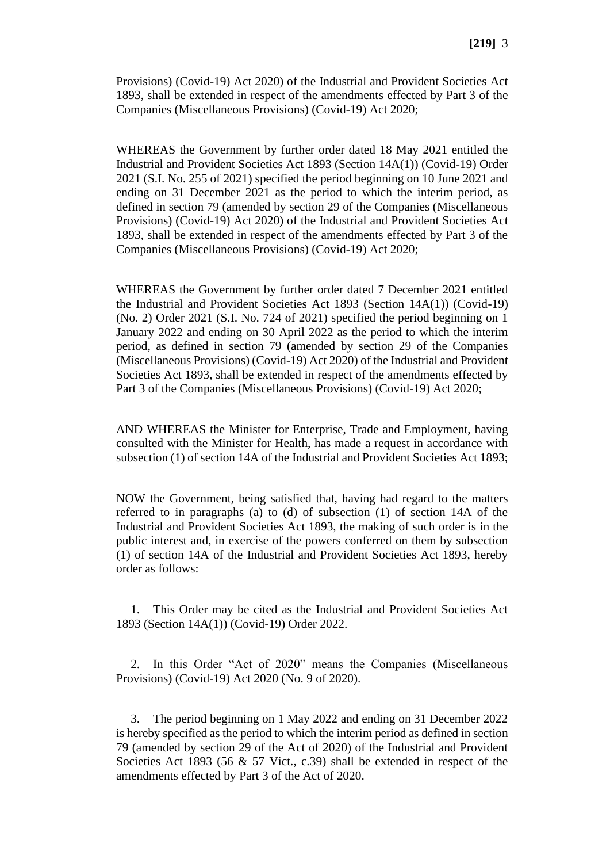Provisions) (Covid-19) Act 2020) of the Industrial and Provident Societies Act 1893, shall be extended in respect of the amendments effected by Part 3 of the Companies (Miscellaneous Provisions) (Covid-19) Act 2020;

WHEREAS the Government by further order dated 18 May 2021 entitled the Industrial and Provident Societies Act 1893 (Section 14A(1)) (Covid-19) Order 2021 (S.I. No. 255 of 2021) specified the period beginning on 10 June 2021 and ending on 31 December 2021 as the period to which the interim period, as defined in section 79 (amended by section 29 of the Companies (Miscellaneous Provisions) (Covid-19) Act 2020) of the Industrial and Provident Societies Act 1893, shall be extended in respect of the amendments effected by Part 3 of the Companies (Miscellaneous Provisions) (Covid-19) Act 2020;

WHEREAS the Government by further order dated 7 December 2021 entitled the Industrial and Provident Societies Act 1893 (Section 14A(1)) (Covid-19) (No. 2) Order 2021 (S.I. No. 724 of 2021) specified the period beginning on 1 January 2022 and ending on 30 April 2022 as the period to which the interim period, as defined in section 79 (amended by section 29 of the Companies (Miscellaneous Provisions) (Covid-19) Act 2020) of the Industrial and Provident Societies Act 1893, shall be extended in respect of the amendments effected by Part 3 of the Companies (Miscellaneous Provisions) (Covid-19) Act 2020;

AND WHEREAS the Minister for Enterprise, Trade and Employment, having consulted with the Minister for Health, has made a request in accordance with subsection (1) of section 14A of the Industrial and Provident Societies Act 1893;

NOW the Government, being satisfied that, having had regard to the matters referred to in paragraphs (a) to (d) of subsection (1) of section 14A of the Industrial and Provident Societies Act 1893, the making of such order is in the public interest and, in exercise of the powers conferred on them by subsection (1) of section 14A of the Industrial and Provident Societies Act 1893, hereby order as follows:

1. This Order may be cited as the Industrial and Provident Societies Act 1893 (Section 14A(1)) (Covid-19) Order 2022.

2. In this Order "Act of 2020" means the Companies (Miscellaneous Provisions) (Covid-19) Act 2020 (No. 9 of 2020).

3. The period beginning on 1 May 2022 and ending on 31 December 2022 is hereby specified as the period to which the interim period as defined in section 79 (amended by section 29 of the Act of 2020) of the Industrial and Provident Societies Act 1893 (56  $\&$  57 Vict., c.39) shall be extended in respect of the amendments effected by Part 3 of the Act of 2020.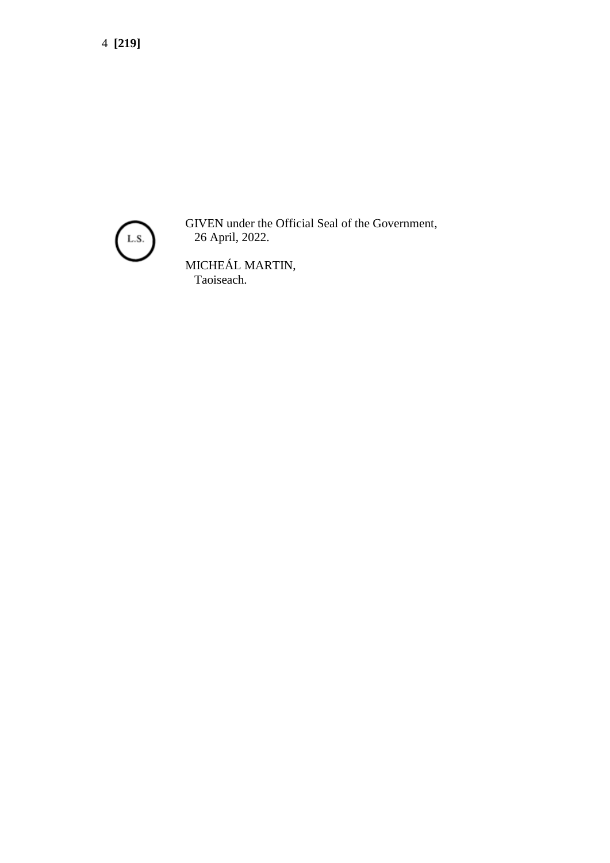4 **[219]**



GIVEN under the Official Seal of the Government, 26 April, 2022.

MICHEÁL MARTIN, Taoiseach.